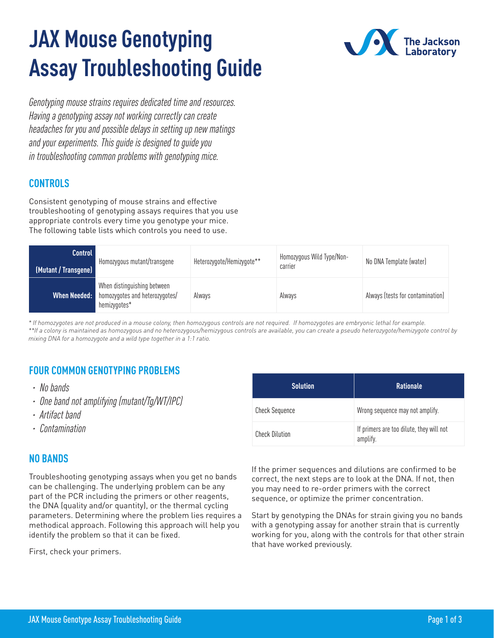# **JAX Mouse Genotyping Assay Troubleshooting Guide**



*Genotyping mouse strains requires dedicated time and resources. Having a genotyping assay not working correctly can create headaches for you and possible delays in setting up new matings and your experiments. This guide is designed to guide you in troubleshooting common problems with genotyping mice.*

## **CONTROLS**

Consistent genotyping of mouse strains and effective troubleshooting of genotyping assays requires that you use appropriate controls every time you genotype your mice. The following table lists which controls you need to use.

| Control<br>[Mutant / Transgene] | Homozygous mutant/transgene                                                   | Heterozygote/Hemizygote** | Homozygous Wild Type/Non-<br>carrier | No DNA Template (water)          |
|---------------------------------|-------------------------------------------------------------------------------|---------------------------|--------------------------------------|----------------------------------|
| When Needed:                    | When distinguishing between<br>homozygotes and heterozygotes/<br>hemizygotes* | Always                    | Always                               | Always (tests for contamination) |

*\* If homozygotes are not produced in a mouse colony, then homozygous controls are not required. If homozygotes are embryonic lethal for example. \*\*If a colony is maintained as homozygous and no heterozygous/hemizygous controls are available, you can create a pseudo heterozygote/hemizygote control by mixing DNA for a homozygote and a wild type together in a 1:1 ratio.*

## **FOUR COMMON GENOTYPING PROBLEMS**

- *· No bands*
- *· One band not amplifying (mutant/Tg/WT/IPC)*
- *· Artifact band*
- *· Contamination*

### **NO BANDS**

Troubleshooting genotyping assays when you get no bands can be challenging. The underlying problem can be any part of the PCR including the primers or other reagents, the DNA (quality and/or quantity), or the thermal cycling parameters. Determining where the problem lies requires a methodical approach. Following this approach will help you identify the problem so that it can be fixed.

First, check your primers.

| <b>Solution</b>       | <b>Rationale</b>                                     |
|-----------------------|------------------------------------------------------|
| <b>Check Sequence</b> | Wrong sequence may not amplify.                      |
| <b>Check Dilution</b> | If primers are too dilute, they will not<br>amplify. |

If the primer sequences and dilutions are confirmed to be correct, the next steps are to look at the DNA. If not, then you may need to re-order primers with the correct sequence, or optimize the primer concentration.

Start by genotyping the DNAs for strain giving you no bands with a genotyping assay for another strain that is currently working for you, along with the controls for that other strain that have worked previously.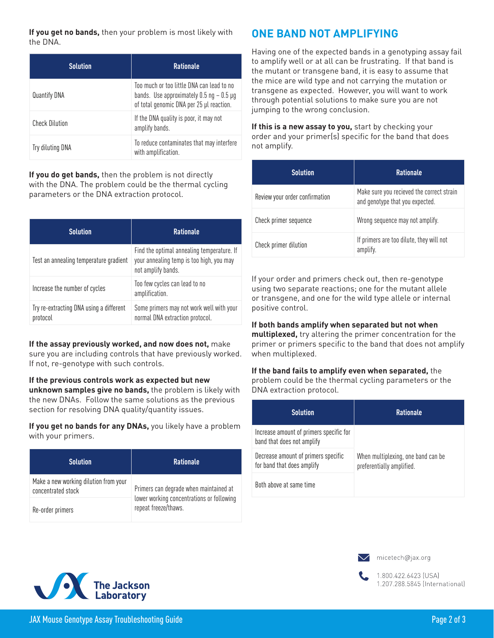**If you get no bands,** then your problem is most likely with the DNA.

| <b>Solution</b>       | <b>Rationale</b>                                                                                                                     |
|-----------------------|--------------------------------------------------------------------------------------------------------------------------------------|
| Quantify DNA          | Too much or too little DNA can lead to no<br>bands. Use approximately $0.5$ ng $-0.5$ µg<br>of total genomic DNA per 25 µl reaction. |
| <b>Check Dilution</b> | If the DNA quality is poor, it may not<br>amplify bands.                                                                             |
| Try diluting DNA      | To reduce contaminates that may interfere<br>with amplification.                                                                     |

**If you do get bands,** then the problem is not directly with the DNA. The problem could be the thermal cycling parameters or the DNA extraction protocol.

| <b>Solution</b>                                     | <b>Rationale</b>                                                                                             |
|-----------------------------------------------------|--------------------------------------------------------------------------------------------------------------|
| Test an annealing temperature gradient              | Find the optimal annealing temperature. If<br>your annealing temp is too high, you may<br>not amplify bands. |
| Increase the number of cycles                       | Too few cycles can lead to no<br>amplification.                                                              |
| Try re-extracting DNA using a different<br>protocol | Some primers may not work well with your<br>normal DNA extraction protocol.                                  |

## **If the assay previously worked, and now does not,** make

sure you are including controls that have previously worked. If not, re-genotype with such controls.

**If the previous controls work as expected but new unknown samples give no bands,** the problem is likely with the new DNAs. Follow the same solutions as the previous section for resolving DNA quality/quantity issues.

**If you get no bands for any DNAs,** you likely have a problem with your primers.

| <b>Solution</b>                                             | <b>Rationale</b>                                                                                            |
|-------------------------------------------------------------|-------------------------------------------------------------------------------------------------------------|
| Make a new working dilution from your<br>concentrated stock | Primers can degrade when maintained at<br>lower working concentrations or following<br>repeat freeze/thaws. |
| Re-order primers                                            |                                                                                                             |

## **ONE BAND NOT AMPLIFYING**

Having one of the expected bands in a genotyping assay fail to amplify well or at all can be frustrating. If that band is the mutant or transgene band, it is easy to assume that the mice are wild type and not carrying the mutation or transgene as expected. However, you will want to work through potential solutions to make sure you are not jumping to the wrong conclusion.

**If this is a new assay to you,** start by checking your order and your primer(s) specific for the band that does not amplify.

| <b>Solution</b>                | <b>Rationale</b>                                                             |
|--------------------------------|------------------------------------------------------------------------------|
| Review your order confirmation | Make sure you recieved the correct strain<br>and genotype that you expected. |
| Check primer sequence          | Wrong sequence may not amplify.                                              |
| Check primer dilution          | If primers are too dilute, they will not<br>amplify.                         |

If your order and primers check out, then re-genotype using two separate reactions; one for the mutant allele or transgene, and one for the wild type allele or internal positive control.

#### **If both bands amplify when separated but not when**

**multiplexed,** try altering the primer concentration for the primer or primers specific to the band that does not amplify when multiplexed.

#### **If the band fails to amplify even when separated,** the problem could be the thermal cycling parameters or the

DNA extraction protocol.

| <b>Solution</b>                                                       | <b>Rationale</b>                                                |
|-----------------------------------------------------------------------|-----------------------------------------------------------------|
| Increase amount of primers specific for<br>band that does not amplify | When multiplexing, one band can be<br>preferentially amplified. |
| Decrease amount of primers specific<br>for band that does amplify     |                                                                 |
| Both above at same time                                               |                                                                 |







1.800.422.6423 (USA) 1.207.288.5845 (International)